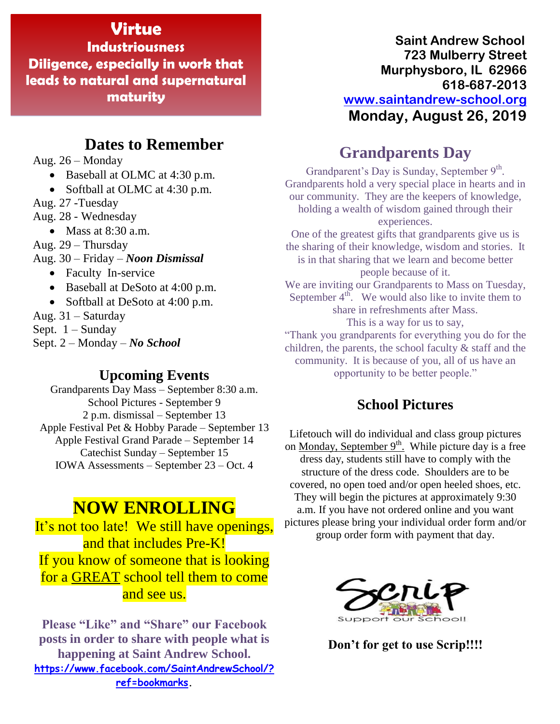## **Virtue**

**Industriousness Diligence, especially in work that leads to natural and supernatural maturity**

## **Dates to Remember**

Aug. 26 – Monday

• Baseball at OLMC at 4:30 p.m.

• Softball at OLMC at 4:30 p.m.

Aug. 27 -Tuesday

Aug. 28 - Wednesday

• Mass at  $8:30$  a.m.

Aug. 29 – Thursday

Aug. 30 – Friday – *Noon Dismissal*

- Faculty In-service
- Baseball at DeSoto at 4:00 p.m.
- Softball at DeSoto at 4:00 p.m.

Aug. 31 – Saturday

Sept.  $1 -$ Sunday

Sept. 2 – Monday – *No School*

### **Upcoming Events**

Grandparents Day Mass – September 8:30 a.m. School Pictures - September 9 2 p.m. dismissal – September 13 Apple Festival Pet & Hobby Parade – September 13 Apple Festival Grand Parade – September 14 Catechist Sunday – September 15 IOWA Assessments – September 23 – Oct. 4

# **NOW ENROLLING**

It's not too late! We still have openings, and that includes Pre-K! If you know of someone that is looking for a GREAT school tell them to come and see us.

**Please "Like" and "Share" our Facebook posts in order to share with people what is happening at Saint Andrew School. [https://www.facebook.com/SaintAndrewSchool/?](https://www.facebook.com/SaintAndrewSchool/?ref=bookmarks) [ref=bookmarks.](https://www.facebook.com/SaintAndrewSchool/?ref=bookmarks)**

**Saint Andrew School 723 Mulberry Street Murphysboro, IL 62966 618-687-2013 [www.saintandrew-school.org](http://www.saintandrew-school.org/) Monday, August 26, 2019**

## **Grandparents Day**

Grandparent's Day is Sunday, September 9th. Grandparents hold a very special place in hearts and in our community. They are the keepers of knowledge, holding a wealth of wisdom gained through their experiences. One of the greatest gifts that grandparents give us is the sharing of their knowledge, wisdom and stories. It is in that sharing that we learn and become better people because of it. We are inviting our Grandparents to Mass on Tuesday, September  $4^{th}$ . We would also like to invite them to share in refreshments after Mass. This is a way for us to say, "Thank you grandparents for everything you do for the children, the parents, the school faculty & staff and the community. It is because of you, all of us have an opportunity to be better people."

### **School Pictures**

Lifetouch will do individual and class group pictures on <u>Monday, September  $9<sup>th</sup>$ </u>. While picture day is a free dress day, students still have to comply with the structure of the dress code. Shoulders are to be covered, no open toed and/or open heeled shoes, etc. They will begin the pictures at approximately 9:30 a.m. If you have not ordered online and you want pictures please bring your individual order form and/or group order form with payment that day.



**Don't for get to use Scrip!!!!**